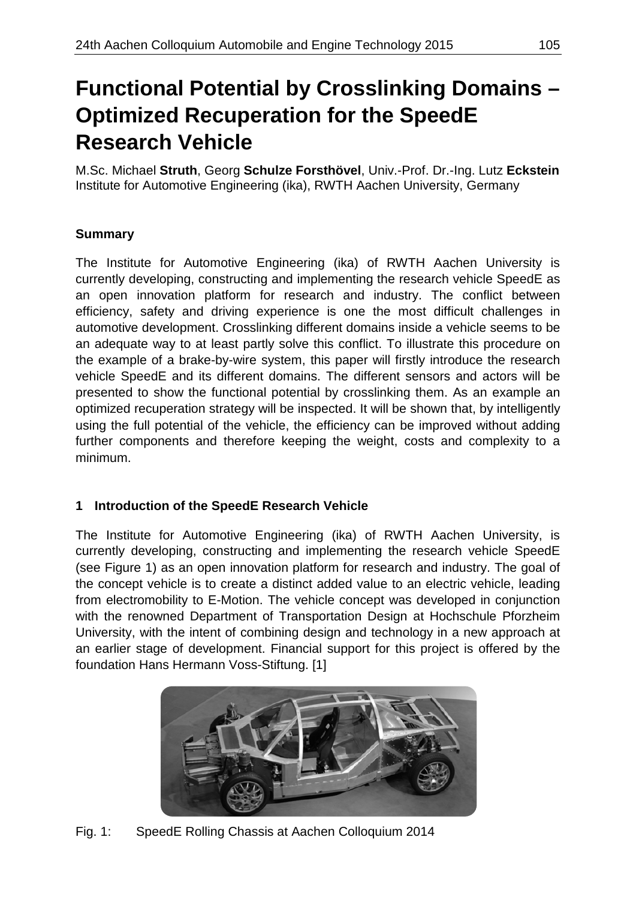# **Functional Potential by Crosslinking Domains – Optimized Recuperation for the SpeedE Research Vehicle**

M.Sc. Michael **Struth**, Georg **Schulze Forsthövel**, Univ.-Prof. Dr.-Ing. Lutz **Eckstein** Institute for Automotive Engineering (ika), RWTH Aachen University, Germany

# **Summary**

The Institute for Automotive Engineering (ika) of RWTH Aachen University is currently developing, constructing and implementing the research vehicle SpeedE as an open innovation platform for research and industry. The conflict between efficiency, safety and driving experience is one the most difficult challenges in automotive development. Crosslinking different domains inside a vehicle seems to be an adequate way to at least partly solve this conflict. To illustrate this procedure on the example of a brake-by-wire system, this paper will firstly introduce the research vehicle SpeedE and its different domains. The different sensors and actors will be presented to show the functional potential by crosslinking them. As an example an optimized recuperation strategy will be inspected. It will be shown that, by intelligently using the full potential of the vehicle, the efficiency can be improved without adding further components and therefore keeping the weight, costs and complexity to a minimum.

# **1 Introduction of the SpeedE Research Vehicle**

The Institute for Automotive Engineering (ika) of RWTH Aachen University, is currently developing, constructing and implementing the research vehicle SpeedE (see Figure 1) as an open innovation platform for research and industry. The goal of the concept vehicle is to create a distinct added value to an electric vehicle, leading from electromobility to E-Motion. The vehicle concept was developed in conjunction with the renowned Department of Transportation Design at Hochschule Pforzheim University, with the intent of combining design and technology in a new approach at an earlier stage of development. Financial support for this project is offered by the foundation Hans Hermann Voss-Stiftung. [1]



Fig. 1: SpeedE Rolling Chassis at Aachen Colloquium 2014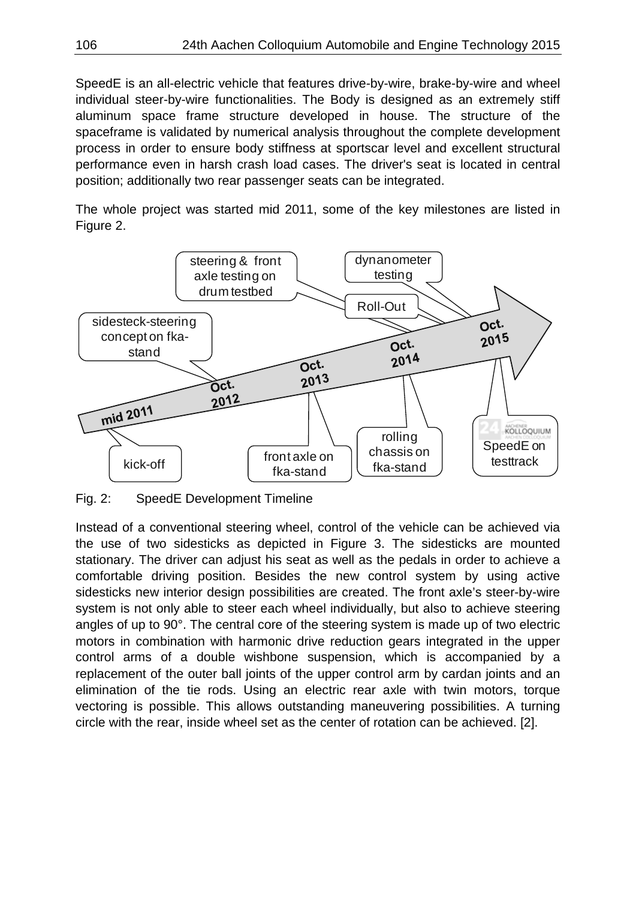SpeedE is an all-electric vehicle that features drive-by-wire, brake-by-wire and wheel individual steer-by-wire functionalities. The Body is designed as an extremely stiff aluminum space frame structure developed in house. The structure of the spaceframe is validated by numerical analysis throughout the complete development process in order to ensure body stiffness at sportscar level and excellent structural performance even in harsh crash load cases. The driver's seat is located in central position; additionally two rear passenger seats can be integrated.

The whole project was started mid 2011, some of the key milestones are listed in Figure 2.



Fig. 2: SpeedE Development Timeline

Instead of a conventional steering wheel, control of the vehicle can be achieved via the use of two sidesticks as depicted in Figure 3. The sidesticks are mounted stationary. The driver can adjust his seat as well as the pedals in order to achieve a comfortable driving position. Besides the new control system by using active sidesticks new interior design possibilities are created. The front axle's steer-by-wire system is not only able to steer each wheel individually, but also to achieve steering angles of up to 90°. The central core of the steering system is made up of two electric motors in combination with harmonic drive reduction gears integrated in the upper control arms of a double wishbone suspension, which is accompanied by a replacement of the outer ball joints of the upper control arm by cardan joints and an elimination of the tie rods. Using an electric rear axle with twin motors, torque vectoring is possible. This allows outstanding maneuvering possibilities. A turning circle with the rear, inside wheel set as the center of rotation can be achieved. [2].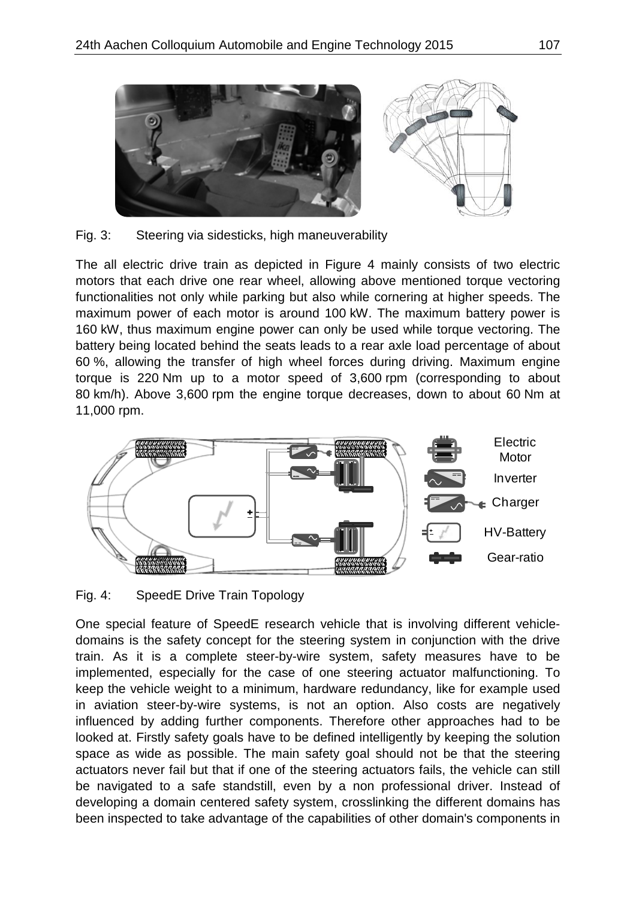

Fig. 3: Steering via sidesticks, high maneuverability

The all electric drive train as depicted in Figure 4 mainly consists of two electric motors that each drive one rear wheel, allowing above mentioned torque vectoring functionalities not only while parking but also while cornering at higher speeds. The maximum power of each motor is around 100 kW. The maximum battery power is 160 kW, thus maximum engine power can only be used while torque vectoring. The battery being located behind the seats leads to a rear axle load percentage of about 60 %, allowing the transfer of high wheel forces during driving. Maximum engine torque is 220 Nm up to a motor speed of 3,600 rpm (corresponding to about 80 km/h). Above 3,600 rpm the engine torque decreases, down to about 60 Nm at 11,000 rpm.



Fig. 4: SpeedE Drive Train Topology

One special feature of SpeedE research vehicle that is involving different vehicledomains is the safety concept for the steering system in conjunction with the drive train. As it is a complete steer-by-wire system, safety measures have to be implemented, especially for the case of one steering actuator malfunctioning. To keep the vehicle weight to a minimum, hardware redundancy, like for example used in aviation steer-by-wire systems, is not an option. Also costs are negatively influenced by adding further components. Therefore other approaches had to be looked at. Firstly safety goals have to be defined intelligently by keeping the solution space as wide as possible. The main safety goal should not be that the steering actuators never fail but that if one of the steering actuators fails, the vehicle can still be navigated to a safe standstill, even by a non professional driver. Instead of developing a domain centered safety system, crosslinking the different domains has been inspected to take advantage of the capabilities of other domain's components in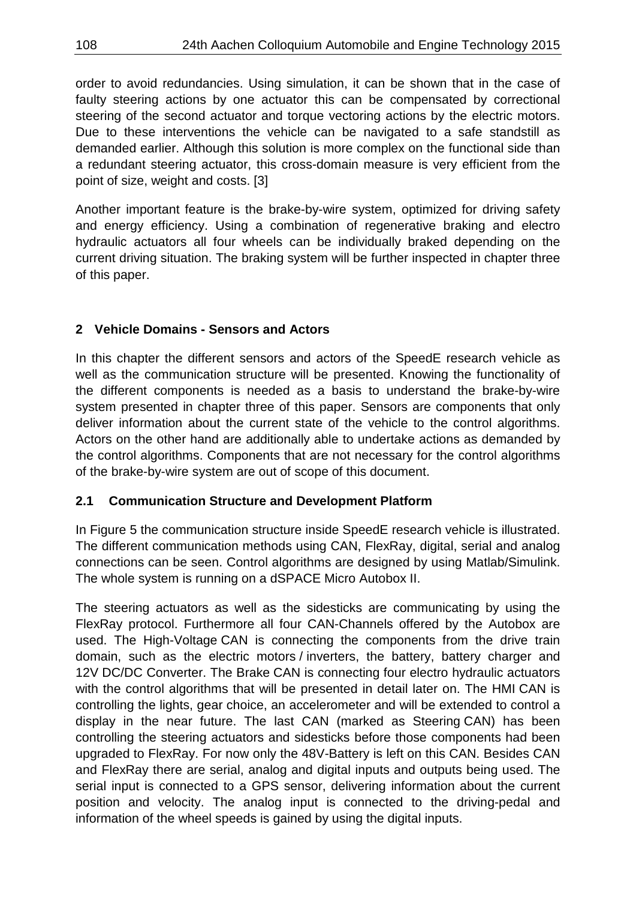order to avoid redundancies. Using simulation, it can be shown that in the case of faulty steering actions by one actuator this can be compensated by correctional steering of the second actuator and torque vectoring actions by the electric motors. Due to these interventions the vehicle can be navigated to a safe standstill as demanded earlier. Although this solution is more complex on the functional side than a redundant steering actuator, this cross-domain measure is very efficient from the point of size, weight and costs. [3]

Another important feature is the brake-by-wire system, optimized for driving safety and energy efficiency. Using a combination of regenerative braking and electro hydraulic actuators all four wheels can be individually braked depending on the current driving situation. The braking system will be further inspected in chapter three of this paper.

## **2 Vehicle Domains - Sensors and Actors**

In this chapter the different sensors and actors of the SpeedE research vehicle as well as the communication structure will be presented. Knowing the functionality of the different components is needed as a basis to understand the brake-by-wire system presented in chapter three of this paper. Sensors are components that only deliver information about the current state of the vehicle to the control algorithms. Actors on the other hand are additionally able to undertake actions as demanded by the control algorithms. Components that are not necessary for the control algorithms of the brake-by-wire system are out of scope of this document.

## **2.1 Communication Structure and Development Platform**

In Figure 5 the communication structure inside SpeedE research vehicle is illustrated. The different communication methods using CAN, FlexRay, digital, serial and analog connections can be seen. Control algorithms are designed by using Matlab/Simulink. The whole system is running on a dSPACE Micro Autobox II.

The steering actuators as well as the sidesticks are communicating by using the FlexRay protocol. Furthermore all four CAN-Channels offered by the Autobox are used. The High-Voltage CAN is connecting the components from the drive train domain, such as the electric motors / inverters, the battery, battery charger and 12V DC/DC Converter. The Brake CAN is connecting four electro hydraulic actuators with the control algorithms that will be presented in detail later on. The HMI CAN is controlling the lights, gear choice, an accelerometer and will be extended to control a display in the near future. The last CAN (marked as Steering CAN) has been controlling the steering actuators and sidesticks before those components had been upgraded to FlexRay. For now only the 48V-Battery is left on this CAN. Besides CAN and FlexRay there are serial, analog and digital inputs and outputs being used. The serial input is connected to a GPS sensor, delivering information about the current position and velocity. The analog input is connected to the driving-pedal and information of the wheel speeds is gained by using the digital inputs.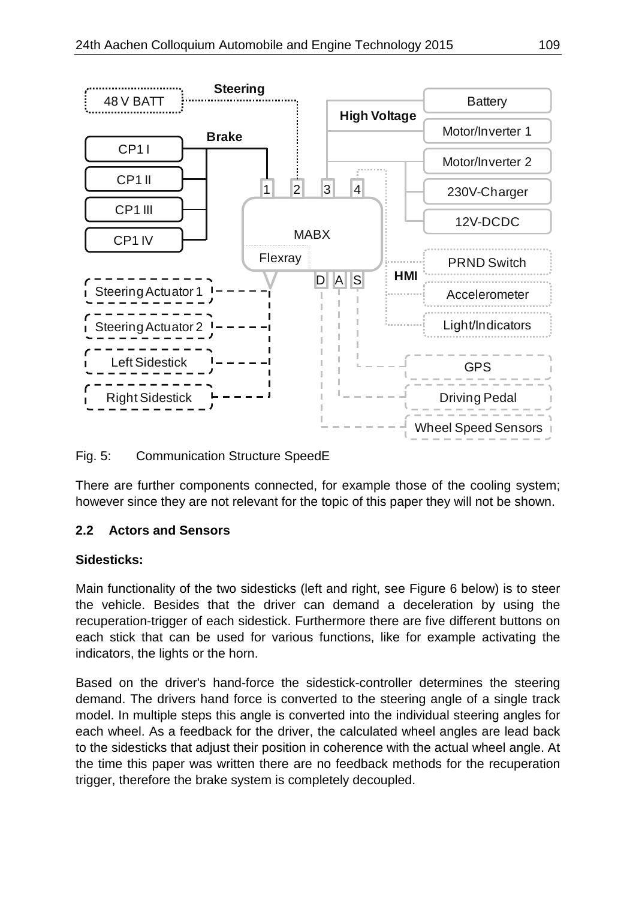

Fig. 5: Communication Structure SpeedE

There are further components connected, for example those of the cooling system; however since they are not relevant for the topic of this paper they will not be shown.

## **2.2 Actors and Sensors**

## **Sidesticks:**

Main functionality of the two sidesticks (left and right, see Figure 6 below) is to steer the vehicle. Besides that the driver can demand a deceleration by using the recuperation-trigger of each sidestick. Furthermore there are five different buttons on each stick that can be used for various functions, like for example activating the indicators, the lights or the horn.

Based on the driver's hand-force the sidestick-controller determines the steering demand. The drivers hand force is converted to the steering angle of a single track model. In multiple steps this angle is converted into the individual steering angles for each wheel. As a feedback for the driver, the calculated wheel angles are lead back to the sidesticks that adjust their position in coherence with the actual wheel angle. At the time this paper was written there are no feedback methods for the recuperation trigger, therefore the brake system is completely decoupled.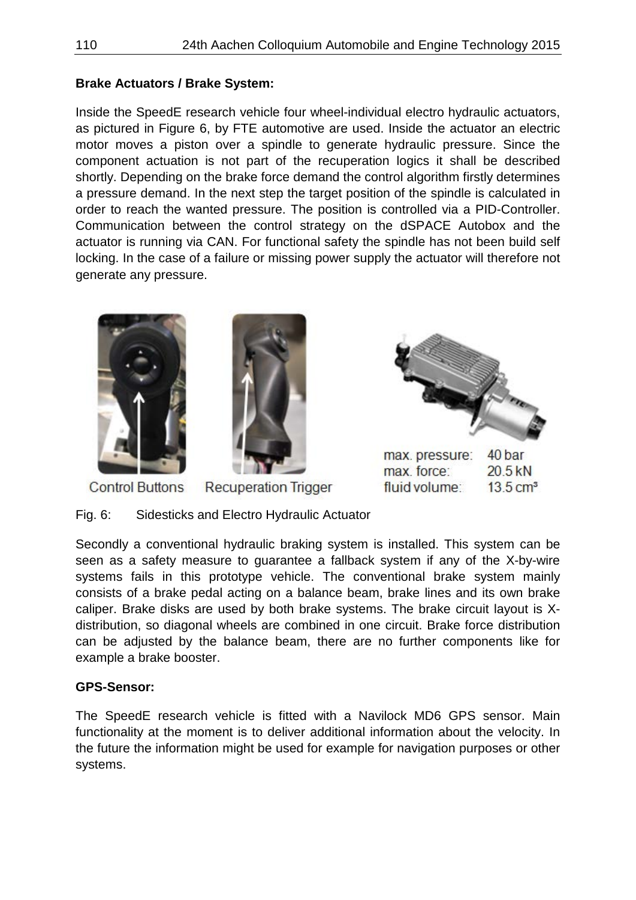## **Brake Actuators / Brake System:**

Inside the SpeedE research vehicle four wheel-individual electro hydraulic actuators, as pictured in Figure 6, by FTE automotive are used. Inside the actuator an electric motor moves a piston over a spindle to generate hydraulic pressure. Since the component actuation is not part of the recuperation logics it shall be described shortly. Depending on the brake force demand the control algorithm firstly determines a pressure demand. In the next step the target position of the spindle is calculated in order to reach the wanted pressure. The position is controlled via a PID-Controller. Communication between the control strategy on the dSPACE Autobox and the actuator is running via CAN. For functional safety the spindle has not been build self locking. In the case of a failure or missing power supply the actuator will therefore not generate any pressure.



Fig. 6: Sidesticks and Electro Hydraulic Actuator

Secondly a conventional hydraulic braking system is installed. This system can be seen as a safety measure to guarantee a fallback system if any of the X-by-wire systems fails in this prototype vehicle. The conventional brake system mainly consists of a brake pedal acting on a balance beam, brake lines and its own brake caliper. Brake disks are used by both brake systems. The brake circuit layout is Xdistribution, so diagonal wheels are combined in one circuit. Brake force distribution can be adjusted by the balance beam, there are no further components like for example a brake booster.

#### **GPS-Sensor:**

The SpeedE research vehicle is fitted with a Navilock MD6 GPS sensor. Main functionality at the moment is to deliver additional information about the velocity. In the future the information might be used for example for navigation purposes or other systems.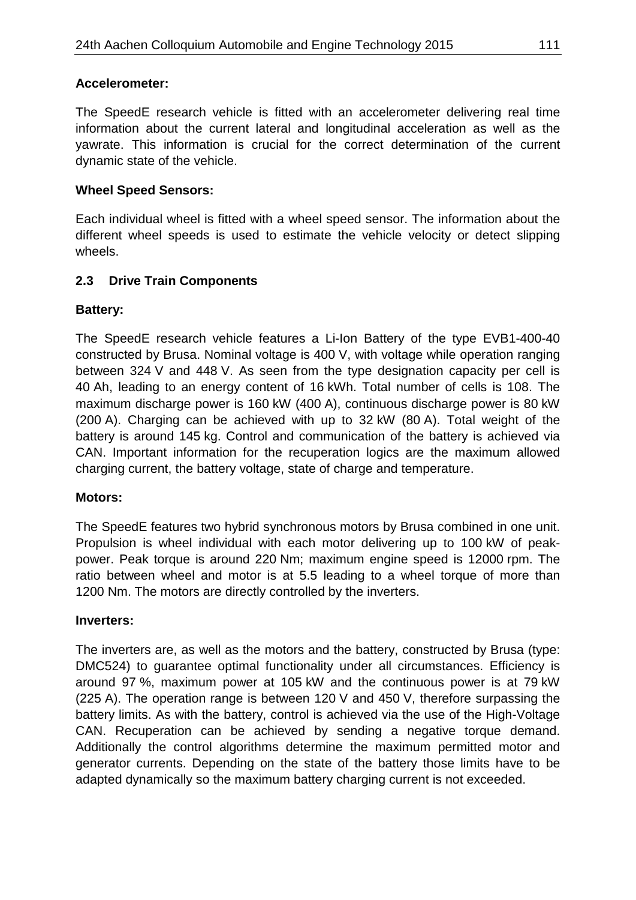#### **Accelerometer:**

The SpeedE research vehicle is fitted with an accelerometer delivering real time information about the current lateral and longitudinal acceleration as well as the yawrate. This information is crucial for the correct determination of the current dynamic state of the vehicle.

#### **Wheel Speed Sensors:**

Each individual wheel is fitted with a wheel speed sensor. The information about the different wheel speeds is used to estimate the vehicle velocity or detect slipping wheels.

#### **2.3 Drive Train Components**

#### **Battery:**

The SpeedE research vehicle features a Li-Ion Battery of the type EVB1-400-40 constructed by Brusa. Nominal voltage is 400 V, with voltage while operation ranging between 324 V and 448 V. As seen from the type designation capacity per cell is 40 Ah, leading to an energy content of 16 kWh. Total number of cells is 108. The maximum discharge power is 160 kW (400 A), continuous discharge power is 80 kW (200 A). Charging can be achieved with up to 32 kW (80 A). Total weight of the battery is around 145 kg. Control and communication of the battery is achieved via CAN. Important information for the recuperation logics are the maximum allowed charging current, the battery voltage, state of charge and temperature.

#### **Motors:**

The SpeedE features two hybrid synchronous motors by Brusa combined in one unit. Propulsion is wheel individual with each motor delivering up to 100 kW of peakpower. Peak torque is around 220 Nm; maximum engine speed is 12000 rpm. The ratio between wheel and motor is at 5.5 leading to a wheel torque of more than 1200 Nm. The motors are directly controlled by the inverters.

#### **Inverters:**

The inverters are, as well as the motors and the battery, constructed by Brusa (type: DMC524) to guarantee optimal functionality under all circumstances. Efficiency is around 97 %, maximum power at 105 kW and the continuous power is at 79 kW (225 A). The operation range is between 120 V and 450 V, therefore surpassing the battery limits. As with the battery, control is achieved via the use of the High-Voltage CAN. Recuperation can be achieved by sending a negative torque demand. Additionally the control algorithms determine the maximum permitted motor and generator currents. Depending on the state of the battery those limits have to be adapted dynamically so the maximum battery charging current is not exceeded.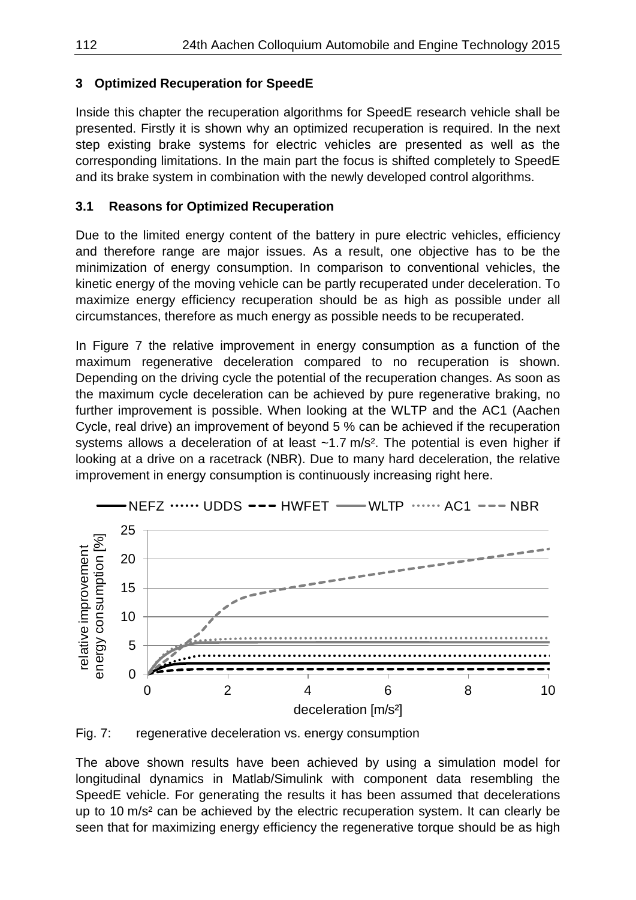## **3 Optimized Recuperation for SpeedE**

Inside this chapter the recuperation algorithms for SpeedE research vehicle shall be presented. Firstly it is shown why an optimized recuperation is required. In the next step existing brake systems for electric vehicles are presented as well as the corresponding limitations. In the main part the focus is shifted completely to SpeedE and its brake system in combination with the newly developed control algorithms.

## **3.1 Reasons for Optimized Recuperation**

Due to the limited energy content of the battery in pure electric vehicles, efficiency and therefore range are major issues. As a result, one objective has to be the minimization of energy consumption. In comparison to conventional vehicles, the kinetic energy of the moving vehicle can be partly recuperated under deceleration. To maximize energy efficiency recuperation should be as high as possible under all circumstances, therefore as much energy as possible needs to be recuperated.

In Figure 7 the relative improvement in energy consumption as a function of the maximum regenerative deceleration compared to no recuperation is shown. Depending on the driving cycle the potential of the recuperation changes. As soon as the maximum cycle deceleration can be achieved by pure regenerative braking, no further improvement is possible. When looking at the WLTP and the AC1 (Aachen Cycle, real drive) an improvement of beyond 5 % can be achieved if the recuperation systems allows a deceleration of at least  $~1.7$  m/s<sup>2</sup>. The potential is even higher if looking at a drive on a racetrack (NBR). Due to many hard deceleration, the relative improvement in energy consumption is continuously increasing right here.





Fig. 7: regenerative deceleration vs. energy consumption

The above shown results have been achieved by using a simulation model for longitudinal dynamics in Matlab/Simulink with component data resembling the SpeedE vehicle. For generating the results it has been assumed that decelerations up to 10 m/s² can be achieved by the electric recuperation system. It can clearly be seen that for maximizing energy efficiency the regenerative torque should be as high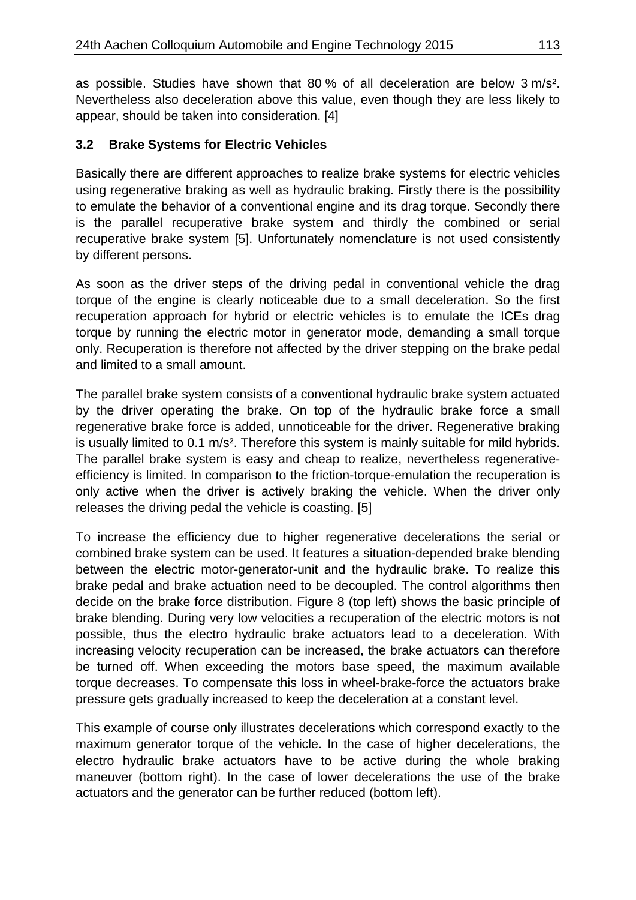as possible. Studies have shown that 80 % of all deceleration are below 3 m/s². Nevertheless also deceleration above this value, even though they are less likely to appear, should be taken into consideration. [4]

## **3.2 Brake Systems for Electric Vehicles**

Basically there are different approaches to realize brake systems for electric vehicles using regenerative braking as well as hydraulic braking. Firstly there is the possibility to emulate the behavior of a conventional engine and its drag torque. Secondly there is the parallel recuperative brake system and thirdly the combined or serial recuperative brake system [5]. Unfortunately nomenclature is not used consistently by different persons.

As soon as the driver steps of the driving pedal in conventional vehicle the drag torque of the engine is clearly noticeable due to a small deceleration. So the first recuperation approach for hybrid or electric vehicles is to emulate the ICEs drag torque by running the electric motor in generator mode, demanding a small torque only. Recuperation is therefore not affected by the driver stepping on the brake pedal and limited to a small amount.

The parallel brake system consists of a conventional hydraulic brake system actuated by the driver operating the brake. On top of the hydraulic brake force a small regenerative brake force is added, unnoticeable for the driver. Regenerative braking is usually limited to 0.1 m/s². Therefore this system is mainly suitable for mild hybrids. The parallel brake system is easy and cheap to realize, nevertheless regenerativeefficiency is limited. In comparison to the friction-torque-emulation the recuperation is only active when the driver is actively braking the vehicle. When the driver only releases the driving pedal the vehicle is coasting. [5]

To increase the efficiency due to higher regenerative decelerations the serial or combined brake system can be used. It features a situation-depended brake blending between the electric motor-generator-unit and the hydraulic brake. To realize this brake pedal and brake actuation need to be decoupled. The control algorithms then decide on the brake force distribution. Figure 8 (top left) shows the basic principle of brake blending. During very low velocities a recuperation of the electric motors is not possible, thus the electro hydraulic brake actuators lead to a deceleration. With increasing velocity recuperation can be increased, the brake actuators can therefore be turned off. When exceeding the motors base speed, the maximum available torque decreases. To compensate this loss in wheel-brake-force the actuators brake pressure gets gradually increased to keep the deceleration at a constant level.

This example of course only illustrates decelerations which correspond exactly to the maximum generator torque of the vehicle. In the case of higher decelerations, the electro hydraulic brake actuators have to be active during the whole braking maneuver (bottom right). In the case of lower decelerations the use of the brake actuators and the generator can be further reduced (bottom left).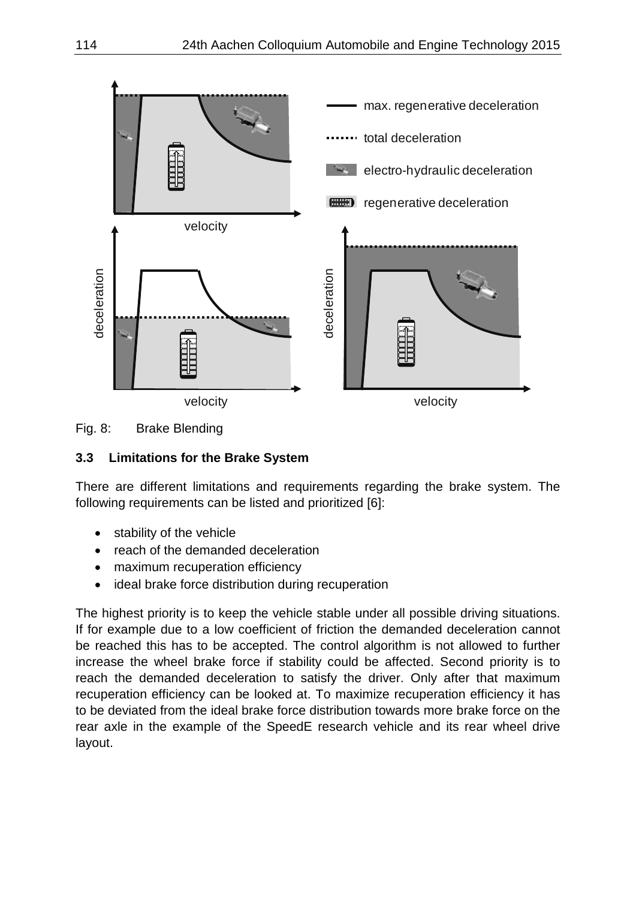



# **3.3 Limitations for the Brake System**

There are different limitations and requirements regarding the brake system. The following requirements can be listed and prioritized [6]:

- stability of the vehicle
- reach of the demanded deceleration
- maximum recuperation efficiency
- ideal brake force distribution during recuperation

The highest priority is to keep the vehicle stable under all possible driving situations. If for example due to a low coefficient of friction the demanded deceleration cannot be reached this has to be accepted. The control algorithm is not allowed to further increase the wheel brake force if stability could be affected. Second priority is to reach the demanded deceleration to satisfy the driver. Only after that maximum recuperation efficiency can be looked at. To maximize recuperation efficiency it has to be deviated from the ideal brake force distribution towards more brake force on the rear axle in the example of the SpeedE research vehicle and its rear wheel drive layout.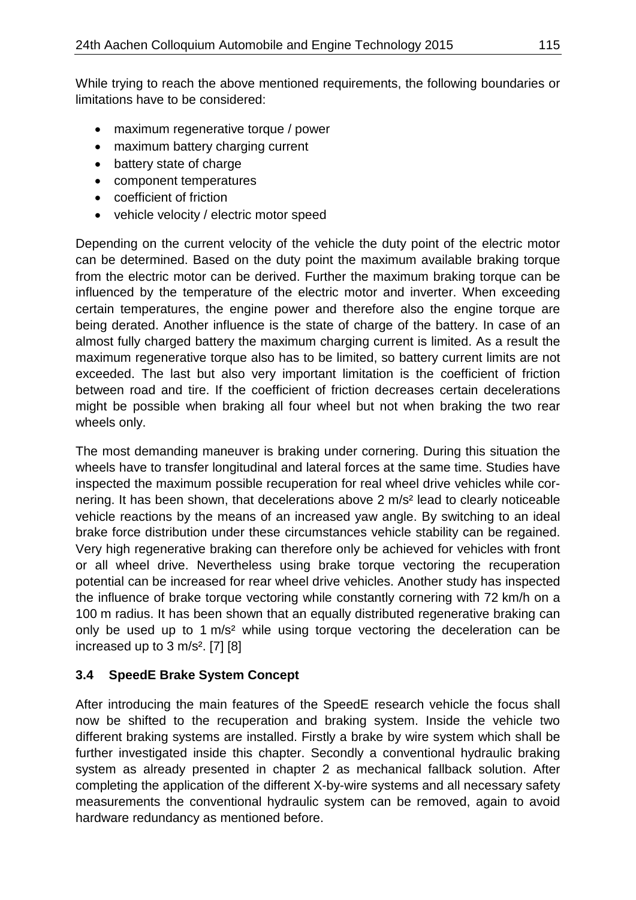While trying to reach the above mentioned requirements, the following boundaries or limitations have to be considered:

- maximum regenerative torque / power
- maximum battery charging current
- battery state of charge
- component temperatures
- coefficient of friction
- vehicle velocity / electric motor speed

Depending on the current velocity of the vehicle the duty point of the electric motor can be determined. Based on the duty point the maximum available braking torque from the electric motor can be derived. Further the maximum braking torque can be influenced by the temperature of the electric motor and inverter. When exceeding certain temperatures, the engine power and therefore also the engine torque are being derated. Another influence is the state of charge of the battery. In case of an almost fully charged battery the maximum charging current is limited. As a result the maximum regenerative torque also has to be limited, so battery current limits are not exceeded. The last but also very important limitation is the coefficient of friction between road and tire. If the coefficient of friction decreases certain decelerations might be possible when braking all four wheel but not when braking the two rear wheels only.

The most demanding maneuver is braking under cornering. During this situation the wheels have to transfer longitudinal and lateral forces at the same time. Studies have inspected the maximum possible recuperation for real wheel drive vehicles while cornering. It has been shown, that decelerations above 2 m/s² lead to clearly noticeable vehicle reactions by the means of an increased yaw angle. By switching to an ideal brake force distribution under these circumstances vehicle stability can be regained. Very high regenerative braking can therefore only be achieved for vehicles with front or all wheel drive. Nevertheless using brake torque vectoring the recuperation potential can be increased for rear wheel drive vehicles. Another study has inspected the influence of brake torque vectoring while constantly cornering with 72 km/h on a 100 m radius. It has been shown that an equally distributed regenerative braking can only be used up to 1 m/s² while using torque vectoring the deceleration can be increased up to  $3 \text{ m/s}^2$ . [7] [8]

# **3.4 SpeedE Brake System Concept**

After introducing the main features of the SpeedE research vehicle the focus shall now be shifted to the recuperation and braking system. Inside the vehicle two different braking systems are installed. Firstly a brake by wire system which shall be further investigated inside this chapter. Secondly a conventional hydraulic braking system as already presented in chapter 2 as mechanical fallback solution. After completing the application of the different X-by-wire systems and all necessary safety measurements the conventional hydraulic system can be removed, again to avoid hardware redundancy as mentioned before.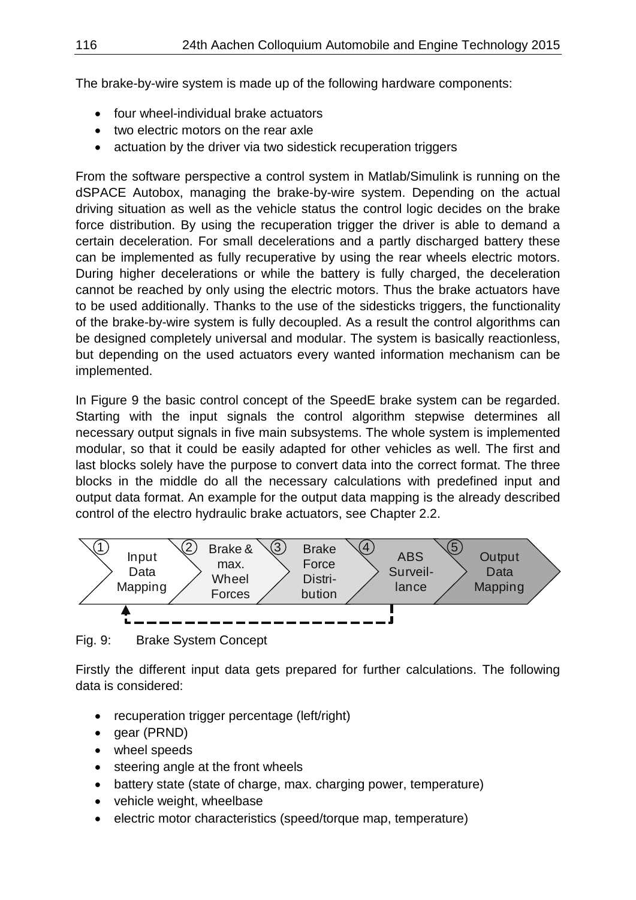The brake-by-wire system is made up of the following hardware components:

- four wheel-individual brake actuators
- two electric motors on the rear axle
- actuation by the driver via two sidestick recuperation triggers

From the software perspective a control system in Matlab/Simulink is running on the dSPACE Autobox, managing the brake-by-wire system. Depending on the actual driving situation as well as the vehicle status the control logic decides on the brake force distribution. By using the recuperation trigger the driver is able to demand a certain deceleration. For small decelerations and a partly discharged battery these can be implemented as fully recuperative by using the rear wheels electric motors. During higher decelerations or while the battery is fully charged, the deceleration cannot be reached by only using the electric motors. Thus the brake actuators have to be used additionally. Thanks to the use of the sidesticks triggers, the functionality of the brake-by-wire system is fully decoupled. As a result the control algorithms can be designed completely universal and modular. The system is basically reactionless, but depending on the used actuators every wanted information mechanism can be implemented.

In Figure 9 the basic control concept of the SpeedE brake system can be regarded. Starting with the input signals the control algorithm stepwise determines all necessary output signals in five main subsystems. The whole system is implemented modular, so that it could be easily adapted for other vehicles as well. The first and last blocks solely have the purpose to convert data into the correct format. The three blocks in the middle do all the necessary calculations with predefined input and output data format. An example for the output data mapping is the already described control of the electro hydraulic brake actuators, see Chapter 2.2.



Fig. 9: Brake System Concept

Firstly the different input data gets prepared for further calculations. The following data is considered:

- recuperation trigger percentage (left/right)
- gear (PRND)
- wheel speeds
- steering angle at the front wheels
- battery state (state of charge, max. charging power, temperature)
- vehicle weight, wheelbase
- electric motor characteristics (speed/torque map, temperature)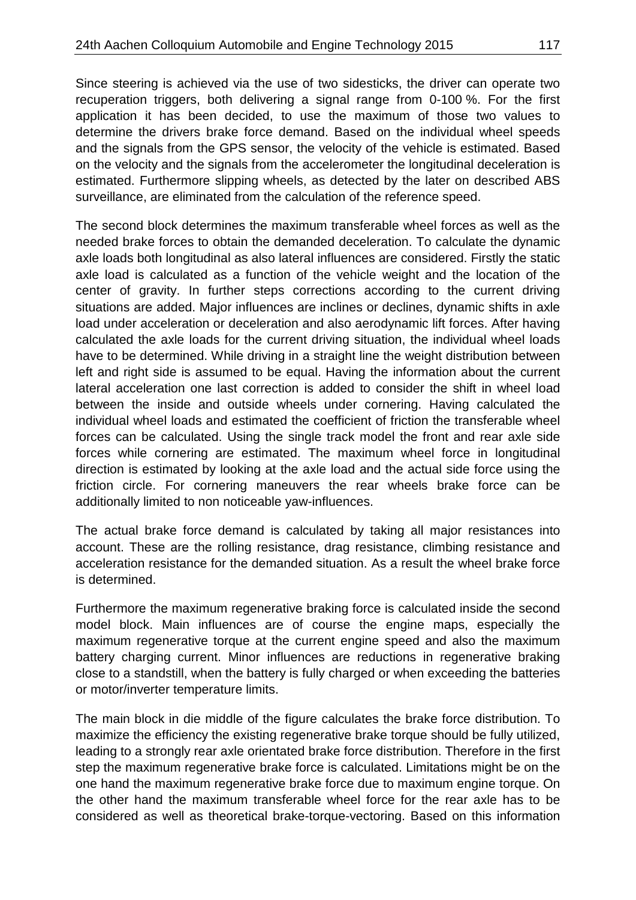Since steering is achieved via the use of two sidesticks, the driver can operate two recuperation triggers, both delivering a signal range from 0-100 %. For the first application it has been decided, to use the maximum of those two values to determine the drivers brake force demand. Based on the individual wheel speeds and the signals from the GPS sensor, the velocity of the vehicle is estimated. Based on the velocity and the signals from the accelerometer the longitudinal deceleration is estimated. Furthermore slipping wheels, as detected by the later on described ABS surveillance, are eliminated from the calculation of the reference speed.

The second block determines the maximum transferable wheel forces as well as the needed brake forces to obtain the demanded deceleration. To calculate the dynamic axle loads both longitudinal as also lateral influences are considered. Firstly the static axle load is calculated as a function of the vehicle weight and the location of the center of gravity. In further steps corrections according to the current driving situations are added. Major influences are inclines or declines, dynamic shifts in axle load under acceleration or deceleration and also aerodynamic lift forces. After having calculated the axle loads for the current driving situation, the individual wheel loads have to be determined. While driving in a straight line the weight distribution between left and right side is assumed to be equal. Having the information about the current lateral acceleration one last correction is added to consider the shift in wheel load between the inside and outside wheels under cornering. Having calculated the individual wheel loads and estimated the coefficient of friction the transferable wheel forces can be calculated. Using the single track model the front and rear axle side forces while cornering are estimated. The maximum wheel force in longitudinal direction is estimated by looking at the axle load and the actual side force using the friction circle. For cornering maneuvers the rear wheels brake force can be additionally limited to non noticeable yaw-influences.

The actual brake force demand is calculated by taking all major resistances into account. These are the rolling resistance, drag resistance, climbing resistance and acceleration resistance for the demanded situation. As a result the wheel brake force is determined.

Furthermore the maximum regenerative braking force is calculated inside the second model block. Main influences are of course the engine maps, especially the maximum regenerative torque at the current engine speed and also the maximum battery charging current. Minor influences are reductions in regenerative braking close to a standstill, when the battery is fully charged or when exceeding the batteries or motor/inverter temperature limits.

The main block in die middle of the figure calculates the brake force distribution. To maximize the efficiency the existing regenerative brake torque should be fully utilized, leading to a strongly rear axle orientated brake force distribution. Therefore in the first step the maximum regenerative brake force is calculated. Limitations might be on the one hand the maximum regenerative brake force due to maximum engine torque. On the other hand the maximum transferable wheel force for the rear axle has to be considered as well as theoretical brake-torque-vectoring. Based on this information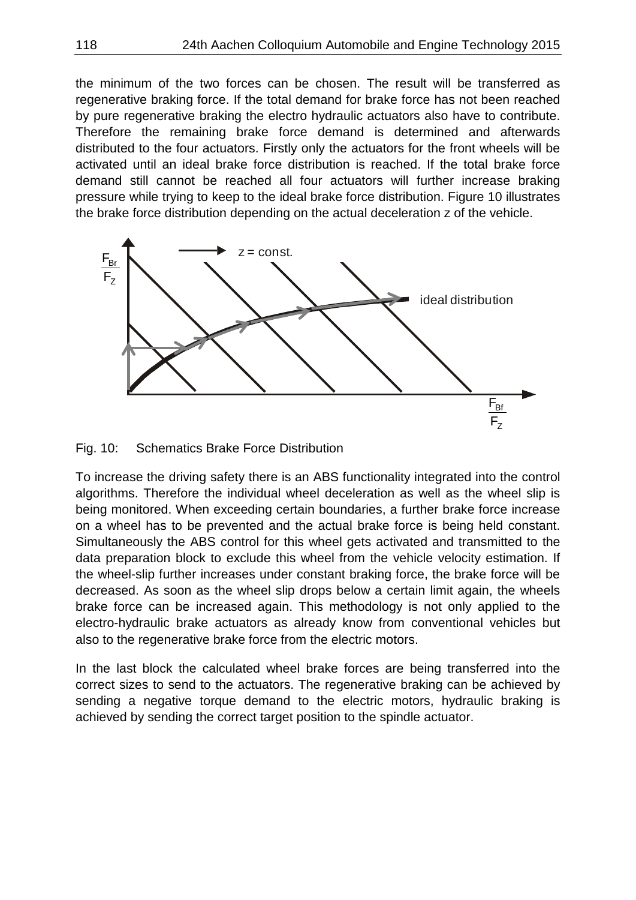the minimum of the two forces can be chosen. The result will be transferred as regenerative braking force. If the total demand for brake force has not been reached by pure regenerative braking the electro hydraulic actuators also have to contribute. Therefore the remaining brake force demand is determined and afterwards distributed to the four actuators. Firstly only the actuators for the front wheels will be activated until an ideal brake force distribution is reached. If the total brake force demand still cannot be reached all four actuators will further increase braking pressure while trying to keep to the ideal brake force distribution. Figure 10 illustrates the brake force distribution depending on the actual deceleration z of the vehicle.



Fig. 10: Schematics Brake Force Distribution

To increase the driving safety there is an ABS functionality integrated into the control algorithms. Therefore the individual wheel deceleration as well as the wheel slip is being monitored. When exceeding certain boundaries, a further brake force increase on a wheel has to be prevented and the actual brake force is being held constant. Simultaneously the ABS control for this wheel gets activated and transmitted to the data preparation block to exclude this wheel from the vehicle velocity estimation. If the wheel-slip further increases under constant braking force, the brake force will be decreased. As soon as the wheel slip drops below a certain limit again, the wheels brake force can be increased again. This methodology is not only applied to the electro-hydraulic brake actuators as already know from conventional vehicles but also to the regenerative brake force from the electric motors.

In the last block the calculated wheel brake forces are being transferred into the correct sizes to send to the actuators. The regenerative braking can be achieved by sending a negative torque demand to the electric motors, hydraulic braking is achieved by sending the correct target position to the spindle actuator.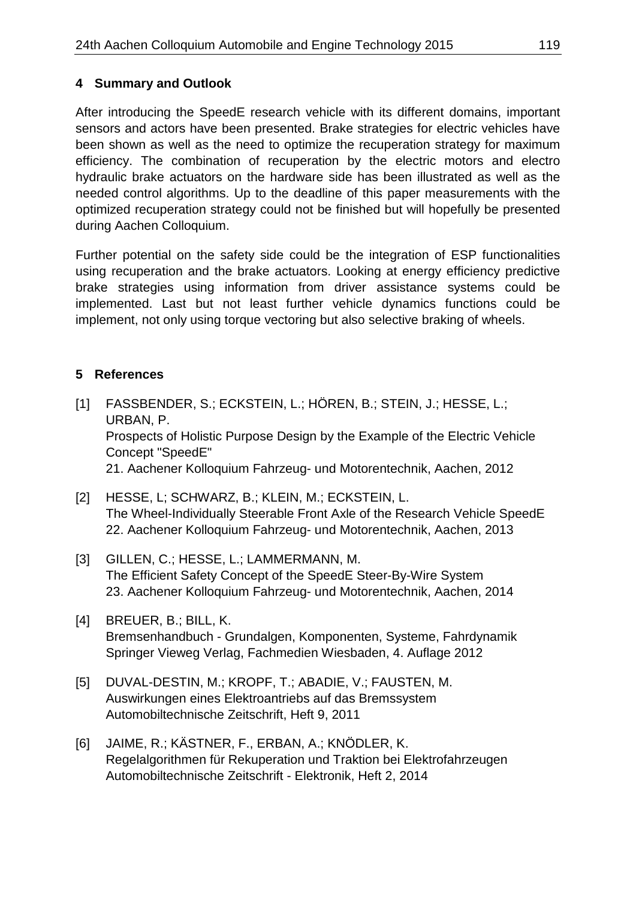## **4 Summary and Outlook**

After introducing the SpeedE research vehicle with its different domains, important sensors and actors have been presented. Brake strategies for electric vehicles have been shown as well as the need to optimize the recuperation strategy for maximum efficiency. The combination of recuperation by the electric motors and electro hydraulic brake actuators on the hardware side has been illustrated as well as the needed control algorithms. Up to the deadline of this paper measurements with the optimized recuperation strategy could not be finished but will hopefully be presented during Aachen Colloquium.

Further potential on the safety side could be the integration of ESP functionalities using recuperation and the brake actuators. Looking at energy efficiency predictive brake strategies using information from driver assistance systems could be implemented. Last but not least further vehicle dynamics functions could be implement, not only using torque vectoring but also selective braking of wheels.

## **5 References**

- [1] FASSBENDER, S.; ECKSTEIN, L.; HÖREN, B.; STEIN, J.; HESSE, L.; URBAN, P. Prospects of Holistic Purpose Design by the Example of the Electric Vehicle Concept "SpeedE" 21. Aachener Kolloquium Fahrzeug- und Motorentechnik, Aachen, 2012
- [2] HESSE, L; SCHWARZ, B.; KLEIN, M.; ECKSTEIN, L. The Wheel-Individually Steerable Front Axle of the Research Vehicle SpeedE 22. Aachener Kolloquium Fahrzeug- und Motorentechnik, Aachen, 2013
- [3] GILLEN, C.; HESSE, L.; LAMMERMANN, M. The Efficient Safety Concept of the SpeedE Steer-By-Wire System 23. Aachener Kolloquium Fahrzeug- und Motorentechnik, Aachen, 2014
- [4] BREUER, B.; BILL, K. Bremsenhandbuch - Grundalgen, Komponenten, Systeme, Fahrdynamik Springer Vieweg Verlag, Fachmedien Wiesbaden, 4. Auflage 2012
- [5] DUVAL-DESTIN, M.; KROPF, T.; ABADIE, V.; FAUSTEN, M. Auswirkungen eines Elektroantriebs auf das Bremssystem Automobiltechnische Zeitschrift, Heft 9, 2011
- [6] JAIME, R.; KÄSTNER, F., ERBAN, A.; KNÖDLER, K. Regelalgorithmen für Rekuperation und Traktion bei Elektrofahrzeugen Automobiltechnische Zeitschrift - Elektronik, Heft 2, 2014